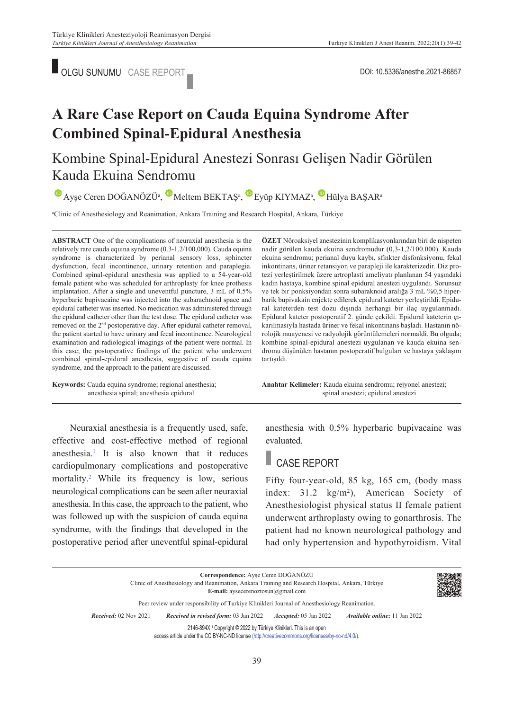

# **A Rare Case Report on Cauda Equina Syndrome After Combined Spinal-Epidural Anesthesia**

Kombine Spinal-Epidural Anestezi Sonrası Gelişen Nadir Görülen Kauda Ekuina Sendromu

 $\bullet$ Ayşe Ceren DOĞANÖZÜ<sup>a</sup>,  $\bullet$  Meltem BEKTAŞ<sup>a</sup>,  $\bullet$  Eyüp KIYMAZ<sup>a</sup>,  $\bullet$  Hülya BAŞAR<sup>a</sup>

a Clinic of Anesthesiology and Reanimation, Ankara Training and Research Hospital, Ankara, Türkiye

**ABS TRACT** One of the complications of neuraxial anesthesia is the relatively rare cauda equina syndrome (0.3-1.2/100,000). Cauda equina syndrome is characterized by perianal sensory loss, sphincter dysfunction, fecal incontinence, urinary retention and paraplegia. Combined spinal-epidural anesthesia was applied to a 54-year-old female patient who was scheduled for arthroplasty for knee prothesis implantation. After a single and uneventful puncture, 3 mL of 0.5% hyperbaric bupivacaine was injected into the subarachnoid space and epidural catheter was inserted. No medication was administered through the epidural catheter other than the test dose. The epidural catheter was removed on the 2<sup>nd</sup> postoperative day. After epidural catheter removal, the patient started to have urinary and fecal incontinence. Neurological examination and radiological imagings of the patient were normal. In this case; the postoperative findings of the patient who underwent combined spinal-epidural anesthesia, suggestive of cauda equina syndrome, and the approach to the patient are discussed.

**Keywords:** Cauda equina syndrome; regional anesthesia; anesthesia spinal; anesthesia epidural

Neuraxial anesthesia is a frequently used, safe, effective and cost-effective method of regional anesthesia[.1](#page-3-0) It is also known that it reduces cardiopulmonary complications and postoperative mortality[.2](#page-3-0) While its frequency is low, serious neurological complications can be seen after neuraxial anesthesia. In this case, the approach to the patient, who was followed up with the suspicion of cauda equina syndrome, with the findings that developed in the postoperative period after uneventful spinal-epidural

**ÖZET** Nöroaksiyel anestezinin komplikasyonlarından biri de nispeten nadir görülen kauda ekuina sendromudur (0,3-1,2/100.000). Kauda ekuina sendromu; perianal duyu kaybı, sfinkter disfonksiyonu, fekal inkontinans, üriner retansiyon ve parapleji ile karakterizedir. Diz protezi yerleştirilmek üzere artroplasti ameliyatı planlanan 54 yaşındaki kadın hastaya, kombine spinal epidural anestezi uygulandı. Sorunsuz ve tek bir ponksiyondan sonra subaraknoid aralığa 3 mL %0,5 hiperbarik bupivakain enjekte edilerek epidural kateter yerleştirildi. Epidural kateterden test dozu dışında herhangi bir ilaç uygulanmadı. Epidural kateter postoperatif 2. günde çekildi. Epidural kateterin çıkarılmasıyla hastada üriner ve fekal inkontinans başladı. Hastanın nörolojik muayenesi ve radyolojik görüntülemeleri normaldi. Bu olguda; kombine spinal-epidural anestezi uygulanan ve kauda ekuina sendromu düşünülen hastanın postoperatif bulguları ve hastaya yaklaşım tartışıldı.

Anahtar Kelimeler: Kauda ekuina sendromu; rejyonel anestezi; spinal anestezi; epidural anestezi

anesthesia with 0.5% hyperbaric bupivacaine was evaluated.

## CASE REPORT

Fifty four-year-old, 85 kg, 165 cm, (body mass index:  $31.2 \text{ kg/m}^2$ , American Society of Anesthesiologist physical status II female patient underwent arthroplasty owing to gonarthrosis. The patient had no known neurological pathology and had only hypertension and hypothyroidism. Vital

**Correspondence:** Ayşe Ceren DOĞANÖZÜ Clinic of Anesthesiology and Reanimation, Ankara Training and Research Hospital, Ankara, Türkiye **E-mail:** aysecerenoztosun@gmail.com Peer review under responsibility of Turkiye Klinikleri Journal of Anesthesiology Reanimation. *Re ce i ved:* 02 Nov 2021 *Received in revised form:* 03 Jan 2022 *Ac cep ted:* 05 Jan 2022 *Available online***:** 11 Jan 2022 2146-894X / Copyright © 2022 by Türkiye Klinikleri. This is an open access article under the CC BY-NC-ND license [\(http://creativecommons.org/licenses/by-nc-nd/4.0/\)](https://creativecommons.org/licenses/by-nc-nd/4.0/).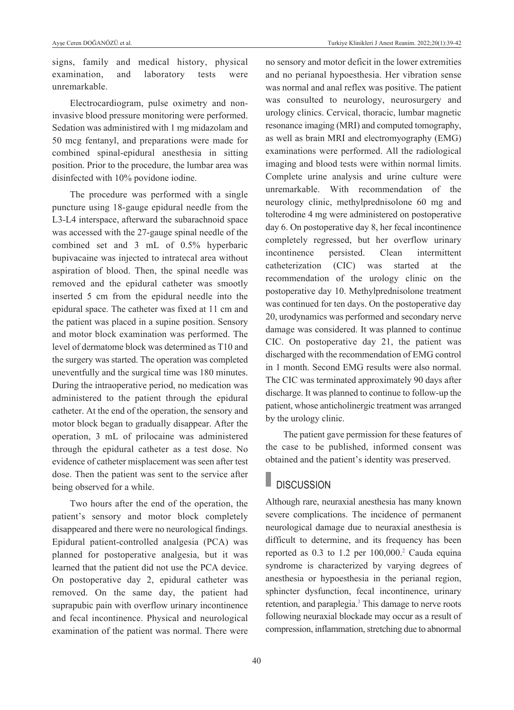signs, family and medical history, physical examination, and laboratory tests were unremarkable.

Electrocardiogram, pulse oximetry and noninvasive blood pressure monitoring were performed. Sedation was administired with 1 mg midazolam and 50 mcg fentanyl, and preparations were made for combined spinal-epidural anesthesia in sitting position. Prior to the procedure, the lumbar area was disinfected with 10% povidone iodine.

The procedure was performed with a single puncture using 18-gauge epidural needle from the L3-L4 interspace, afterward the subarachnoid space was accessed with the 27-gauge spinal needle of the combined set and 3 mL of 0.5% hyperbaric bupivacaine was injected to intratecal area without aspiration of blood. Then, the spinal needle was removed and the epidural catheter was smootly inserted 5 cm from the epidural needle into the epidural space. The catheter was fixed at 11 cm and the patient was placed in a supine position. Sensory and motor block examination was performed. The level of dermatome block was determined as T10 and the surgery was started. The operation was completed uneventfully and the surgical time was 180 minutes. During the intraoperative period, no medication was administered to the patient through the epidural catheter. At the end of the operation, the sensory and motor block began to gradually disappear. After the operation, 3 mL of prilocaine was administered through the epidural catheter as a test dose. No evidence of catheter misplacement was seen after test dose. Then the patient was sent to the service after being observed for a while.

Two hours after the end of the operation, the patient's sensory and motor block completely disappeared and there were no neurological findings. Epidural patient-controlled analgesia (PCA) was planned for postoperative analgesia, but it was learned that the patient did not use the PCA device. On postoperative day 2, epidural catheter was removed. On the same day, the patient had suprapubic pain with overflow urinary incontinence and fecal incontinence. Physical and neurological examination of the patient was normal. There were no sensory and motor deficit in the lower extremities and no perianal hypoesthesia. Her vibration sense was normal and anal reflex was positive. The patient was consulted to neurology, neurosurgery and urology clinics. Cervical, thoracic, lumbar magnetic resonance imaging (MRI) and computed tomography, as well as brain MRI and electromyography (EMG) examinations were performed. All the radiological imaging and blood tests were within normal limits. Complete urine analysis and urine culture were unremarkable. With recommendation of the neurology clinic, methylprednisolone 60 mg and tolterodine 4 mg were administered on postoperative day 6. On postoperative day 8, her fecal incontinence completely regressed, but her overflow urinary incontinence persisted. Clean intermittent catheterization (CIC) was started at the recommendation of the urology clinic on the postoperative day 10. Methylprednisolone treatment was continued for ten days. On the postoperative day 20, urodynamics was performed and secondary nerve damage was considered. It was planned to continue CIC. On postoperative day 21, the patient was discharged with the recommendation of EMG control in 1 month. Second EMG results were also normal. The CIC was terminated approximately 90 days after discharge. It was planned to continue to follow-up the patient, whose anticholinergic treatment was arranged by the urology clinic.

The patient gave permission for these features of the case to be published, informed consent was obtained and the patient's identity was preserved.

## **DISCUSSION**

Although rare, neuraxial anesthesia has many known severe complications. The incidence of permanent neurological damage due to neuraxial anesthesia is difficult to determine, and its frequency has been reported as  $0.3$  to  $1.2$  $1.2$  per  $100,000$ <sup>2</sup> Cauda equina syndrome is characterized by varying degrees of anesthesia or hypoesthesia in the perianal region, sphincter dysfunction, fecal incontinence, urinary retention, and paraplegia.<sup>3</sup> This damage to nerve roots following neuraxial blockade may occur as a result of compression, inflammation, stretching due to abnormal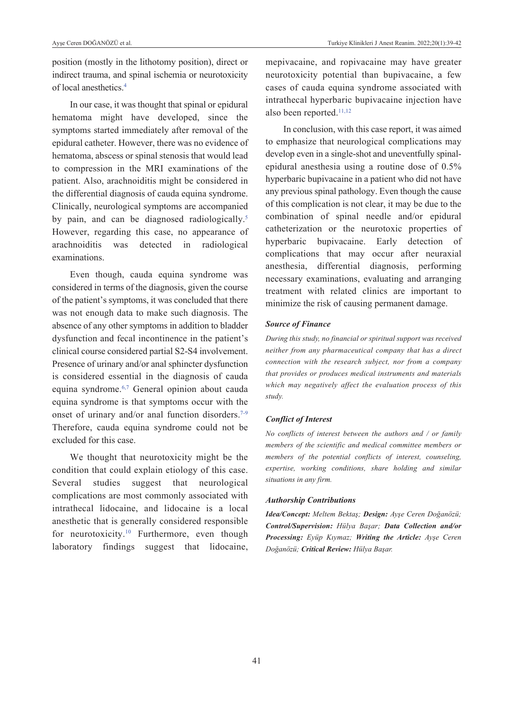position (mostly in the lithotomy position), direct or indirect trauma, and spinal ischemia or neurotoxicity of local anesthetics[.4](#page-3-0)

In our case, it was thought that spinal or epidural hematoma might have developed, since the symptoms started immediately after removal of the epidural catheter. However, there was no evidence of hematoma, abscess or spinal stenosis that would lead to compression in the MRI examinations of the patient. Also, arachnoiditis might be considered in the differential diagnosis of cauda equina syndrome. Clinically, neurological symptoms are accompanied by pain, and can be diagnosed radiologically.<sup>5</sup> However, regarding this case, no appearance of arachnoiditis was detected in radiological examinations.

Even though, cauda equina syndrome was considered in terms of the diagnosis, given the course of the patient's symptoms, it was concluded that there was not enough data to make such diagnosis. The absence of any other symptoms in addition to bladder dysfunction and fecal incontinence in the patient's clinical course considered partial S2-S4 involvement. Presence of urinary and/or anal sphincter dysfunction is considered essential in the diagnosis of cauda equina syndrome[.6,7](#page-3-0) General opinion about cauda equina syndrome is that symptoms occur with the onset of urinary and/or anal function disorders.<sup>7-9</sup> Therefore, cauda equina syndrome could not be excluded for this case.

We thought that neurotoxicity might be the condition that could explain etiology of this case. Several studies suggest that neurological complications are most commonly associated with intrathecal lidocaine, and lidocaine is a local anesthetic that is generally considered responsible for neurotoxicity[.10](#page-3-0) Furthermore, even though laboratory findings suggest that lidocaine,

mepivacaine, and ropivacaine may have greater neurotoxicity potential than bupivacaine, a few cases of cauda equina syndrome associated with intrathecal hyperbaric bupivacaine injection have also been reported[.11,12](#page-3-0)

In conclusion, with this case report, it was aimed to emphasize that neurological complications may develop even in a single-shot and uneventfully spinalepidural anesthesia using a routine dose of 0.5% hyperbaric bupivacaine in a patient who did not have any previous spinal pathology. Even though the cause of this complication is not clear, it may be due to the combination of spinal needle and/or epidural catheterization or the neurotoxic properties of hyperbaric bupivacaine. Early detection of complications that may occur after neuraxial anesthesia, differential diagnosis, performing necessary examinations, evaluating and arranging treatment with related clinics are important to minimize the risk of causing permanent damage.

### *Source of Finance*

*During this study, no financial or spiritual support was received neither from any pharmaceutical company that has a direct connection with the research subject, nor from a company that provides or produces medical instruments and materials which may negatively affect the evaluation process of this study.* 

### *Conflict of Interest*

*No conflicts of interest between the authors and / or family members of the scientific and medical committee members or members of the potential conflicts of interest, counseling, expertise, working conditions, share holding and similar situations in any firm.* 

#### *Authorship Contributions*

*Idea/Concept: Meltem Bektaş; Design: Ayşe Ceren Doğanözü; Control/Supervision: Hülya Başar; Data Collection and/or Processing: Eyüp Kıymaz; Writing the Article: Ayşe Ceren Doğanözü; Critical Review: Hülya Başar.*